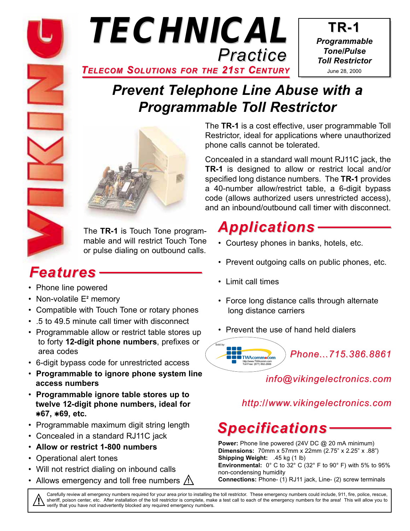



**TR-1** *Programmable Tone/Pulse Toll Restrictor* June 28, 2000

# *Prevent Telephone Line Abuse with a Programmable Toll Restrictor*



The **TR-1** is Touch Tone programmable and will restrict Touch Tone or pulse dialing on outbound calls.

# *Features*

- Phone line powered
- Non-volatile E**<sup>2</sup>** memory
- Compatible with Touch Tone or rotary phones
- .5 to 49.5 minute call timer with disconnect
- Programmable allow or restrict table stores up to forty **12-digit phone numbers**, prefixes or area codes
- 6-digit bypass code for unrestricted access
- **Programmable to ignore phone system line access numbers**
- **Programmable ignore table stores up to twelve 12-digit phone numbers, ideal for**  ✱**67,** ✱**69, etc.**
- Programmable maximum digit string length
- Concealed in a standard RJ11C jack
- **Allow or restrict 1-800 numbers**
- Operational alert tones
- Will not restrict dialing on inbound calls
- Allows emergency and toll free numbers **!**

The **TR-1** is a cost effective, user programmable Toll Restrictor, ideal for applications where unauthorized phone calls cannot be tolerated.

Concealed in a standard wall mount RJ11C jack, the **TR-1** is designed to allow or restrict local and/or specified long distance numbers. The **TR-1** provides a 40-number allow/restrict table, a 6-digit bypass code (allows authorized users unrestricted access), and an inbound/outbound call timer with disconnect.

# *Applications*

- Courtesy phones in banks, hotels, etc.
- Prevent outgoing calls on public phones, etc.
- Limit call times
- Force long distance calls through alternate long distance carriers
- Prevent the use of hand held dialers



*info@vikingelectronics.com*

## *http://www.vikingelectronics.com*

# *Specifications*

**Power:** Phone line powered (24V DC @ 20 mA minimum) **Dimensions:** 70mm x 57mm x 22mm (2.75" x 2.25" x .88") **Shipping Weight:** .45 kg (1 lb) **Environmental:** 0° C to 32° C (32° F to 90° F) with 5% to 95% non-condensing humidity

**Connections:** Phone- (1) RJ11 jack, Line- (2) screw terminals

Carefully review all emergency numbers required for your area prior to installing the toll restrictor. These emergency numbers could include, 911, fire, police, rescue, Sheriff, poison center, etc. After installation of the toll restrictor is complete, make a test call to each of the emergency numbers for the area! This will allow you to verify that you have not inadvertently blocked any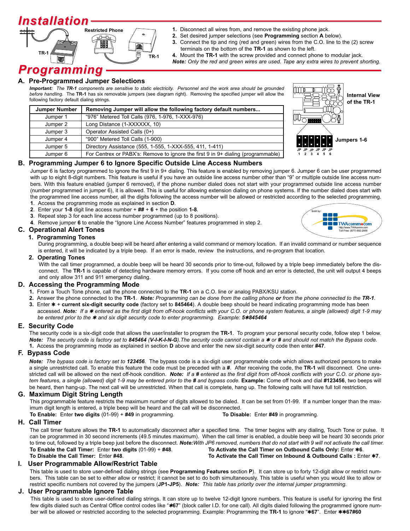# *Installation*



- **1.** Disconnect all wires from, and remove the existing phone jack.
- **2.** Set desired jumper selections (see **Programming** section **A** below).
	- **3.** Connect the tip and ring (red and green) wires from the C.O. line to the (2) screw terminals on the bottom of the **TR-1** as shown to the left.
	- **4.** Mount the **TR-1** with the screw provided and connect phone to modular jack. *Note: Only the red and green wires are used. Tape any extra wires to prevent shorting.*

## *Programming*

#### **A. Pre-Programmed Jumper Selections**

*Important: The TR-1 components are sensitive to static electricity. Personnel and the work area should be grounded before handling.* The **TR-1** has six removable jumpers (see diagram right). Removing the specified jumper will allow the following factory default dialing strings.

| <b>Jumper Number</b> | Removing Jumper will allow the following factory default numbers                 |  |  |  |  |
|----------------------|----------------------------------------------------------------------------------|--|--|--|--|
| Jumper 1             | "976" Metered Toll Calls (976, 1-976, 1-XXX-976)                                 |  |  |  |  |
| Jumper 2             | Long Distance (1-XXXXXX, 10)                                                     |  |  |  |  |
| Jumper 3             | Operator Assisted Calls (0+)                                                     |  |  |  |  |
| Jumper 4             | "900" Metered Toll Calls (1-900)                                                 |  |  |  |  |
| Jumper 5             | Directory Assistance (555, 1-555, 1-XXX-555, 411, 1-411)                         |  |  |  |  |
| Jumper 6             | For Centrex or PABX's: Remove to ignore the first 9 in 9+ dialing (programmable) |  |  |  |  |



#### **B. Programming Jumper 6 to Ignore Specific Outside Line Access Numbers**

Jumper 6 is factory programmed to ignore the first 9 in 9+ dialing. This feature is enabled by removing jumper 6. Jumper 6 can be user programmed with up to eight 8-digit numbers. This feature is useful if you have an outside line access number other than "9" or multiple outside line access numbers. With this feature enabled (jumper 6 removed), if the phone number dialed does not start with your programmed outside line access number (number programmed in jumper 6), it is allowed. This is useful for allowing extension dialing on phone systems. If the number dialed does start with the programmed line access number, all the digits following the access number will be allowed or restricted according to the selected programming.

- **1**. Access the programming mode as explained in section **D**.
- **2**. Enter your **1-8** digit line access number + **##** + **6** + the position **1-8**.
- **3**. Repeat step 3 for each line access number programmed (up to 8 positions).
- **4**. Remove jumper **6** to enable the "Ignore Line Access Number" features programmed in step 2.

#### **C. Operational Alert Tones**

#### **1. Programming Tones**

During programming, a double beep will be heard after entering a valid command or memory location. If an invalid command or number sequence is entered, it will be indicated by a triple beep. If an error is made, review the instructions, and re-program that location.

#### **2. Operating Tones**

With the call timer programmed, a double beep will be heard 30 seconds prior to time-out, followed by a triple beep immediately before the disconnect. The **TR-1** is capable of detecting hardware memory errors. If you come off hook and an error is detected, the unit will output 4 beeps and only allow 311 and 911 emergency dialing.

#### **D. Accessing the Programming Mode**

- **1.** From a Touch Tone phone, call the phone connected to the **TR-1** on a C.O. line or analog PABX/KSU station.
- **2.** Answer the phone connected to the **TR-1**. *Note: Programming can be done from the calling phone or from the phone connected to the TR-1.*
- **3.** Enter ✱ + **current six-digit security code** (factory set to **845464**). A double beep should be heard indicating programming mode has been accessed. *Note: If a* ✱ *entered as the first digit from off-hook conflicts with your C.O. or phone system features, a single (allowed) digit 1-9 may be entered prior to the \* and six digit security code to enter programming. Example: 5\*845464*

#### **E. Security Code**

The security code is a six-digit code that allows the user/installer to program the **TR-1**. To program your personal security code, follow step 1 below. *Note:* The security code is factory set to 845464 (V-I-K-I-N-G). The security code cannot contain a  $*$  or  $*$  and should not match the Bypass code. **1.** Access the programming mode as explained in section **D** above and enter the new six-digit security code then enter **#47**.

#### **F. Bypass Code**

*Note: The bypass code is factory set to 123456.* The bypass code is a six-digit user programmable code which allows authorized persons to make a single unrestricted call. To enable this feature the code must be preceded with a **#**. After receiving the code, the **TR-1** will disconnect. One unrestricted call will be allowed on the next off-hook condition. Note: If a # entered as the first digit from off-hook conflicts with your C.O. or phone sys*tem features, a single (allowed) digit 1-9 may be entered prior to the # and bypass code.* **Example:** Come off hook and dial **#123456**, two beeps will be heard, then hang-up. The next call will be unrestricted. When that call is complete, hang up. The following calls will have full toll restriction.

#### **G. Maximum Digit String Length**

This programmable feature restricts the maximum number of digits allowed to be dialed. It can be set from 01-99. If a number longer than the maximum digit length is entered, a triple beep will be heard and the call will be disconnected.

**To Enable:** Enter **two digits** (01-99) + **#49** in programming. **To Disable:** Enter **#49** in programming.

#### **H. Call Timer**

The call timer feature allows the **TR-1** to automatically disconnect after a specified time. The timer begins with any dialing, Touch Tone or pulse. It can be programmed in 30 second increments (49.5 minutes maximum). When the call timer is enabled, a double beep will be heard 30 seconds prior to time out, followed by a triple beep just before the disconnect. *Note:With JP6 removed, numbers that do not start with 9 will not activate the call timer.*  **To Enable the Call Timer:** Enter **two digits** (01-99) + **#48**. **To Activate the Call Timer on Outbound Calls Only:** Enter ✱**6**. **To Disable the Call Timer:** Enter **#48**. **To Activate the Call Timer on Inbound & Outbound Calls :** Enter ✱**7**.

#### **I. User Programmable Allow/Restrict Table**

This table is used to store user-defined dialing strings (see **Programming Features** section **P**). It can store up to forty 12-digit allow or restrict numbers. This table can be set to either allow or restrict; it cannot be set to do both simultaneously. This table is useful when you would like to allow or restrict specific numbers not covered by the jumpers (**JP1-JP5**). *Note: This table has priority over the internal jumper programming.*

#### **J. User Programmable Ignore Table**

This table is used to store user-defined dialing strings. It can store up to twelve 12-digit Ignore numbers. This feature is useful for ignoring the first few digits dialed such as Central Office control codes like "\*67" (block caller I.D. for one call). All digits dialed following the programmed ignore number will be allowed or restricted according to the selected programming. Example: Programming the **TR-1** to ignore "✱**67**". Enter ✱✱**67#60**

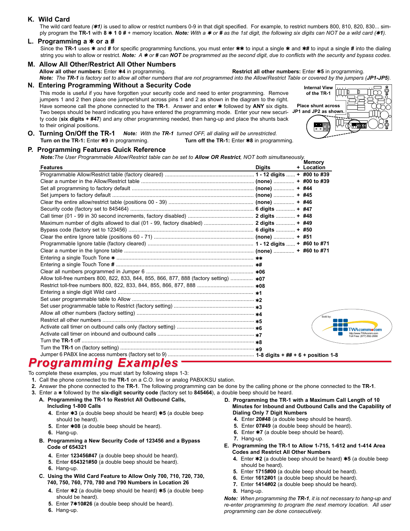#### **K. Wild Card**

The wild card feature (**\*1**) is used to allow or restrict numbers 0-9 in that digit specified. For example, to restrict numbers 800, 810, 820, 830... simply program the **TR-1** with **8** ✱ **1 0 #** + memory location. *Note: With a* ✱ *or # as the 1st digit, the following six digits can NOT be a wild card (*✱*1).*

#### **L. Programming a** ✱ **or a #**

Since the **TR-1** uses ✱ and **#** for specific programming functions, you must enter ✱✱ to input a single ✱ and ✱**#** to input a single **#** into the dialing string you wish to allow or restrict. *Note: A* ✱ *or # can NOT be programmed as the second digit, due to conflicts with the security and bypass codes.*

### **M. Allow All Other/Restrict All Other Numbers**

**Restrict all other numbers:** Enter  $*5$  in programming.

*Note: The TR-1 is factory set to allow all other numbers that are not programmed into the Allow/Restrict Table or covered by the jumpers (JP1-JP5).*

**N. Entering Programming Without a Security Code Internal View** Internal View

This mode is useful if you have forgotten your security code and need to enter programming. Remove jumpers 1 and 2 then place one jumper/shunt across pins 1 and 2 as shown in the diagram to the right. Have someone call the phone connected to the TR-1. Answer and enter  $*$  followed by ANY six digits. Two beeps should be heard indicating you have entered the programming mode. Enter your new security code (**six digits + #47**) and any other programming needed, then hang-up and place the shunts back to their original positions.



 $nmocom$ 

**O.** Turning On/Off the TR-1 Note: With the TR-1 turned OFF, all dialing will be unrestricted. **Turn on the TR-1:** Enter ✱**9** in programming. **Turn off the TR-1:** Enter ✱**8** in programming.

#### **P. Programming Features Quick Reference**

*Note:The User Programmable Allow/Restrict table can be set to Allow OR Restrict, NOT both simultaneously.*

| <b>Features</b>                                                                       | <b>Digits</b> | <b>Memory</b><br>+ Location |                           |
|---------------------------------------------------------------------------------------|---------------|-----------------------------|---------------------------|
|                                                                                       |               |                             |                           |
|                                                                                       |               |                             |                           |
|                                                                                       |               |                             |                           |
|                                                                                       |               |                             |                           |
|                                                                                       |               |                             |                           |
|                                                                                       |               |                             |                           |
|                                                                                       |               |                             |                           |
| Maximum number of digits allowed to dial (01 - 99, factory disabled)  2 digits  + #49 |               |                             |                           |
|                                                                                       |               |                             |                           |
|                                                                                       |               |                             |                           |
|                                                                                       |               |                             |                           |
|                                                                                       |               |                             |                           |
|                                                                                       |               |                             |                           |
|                                                                                       |               |                             |                           |
|                                                                                       |               |                             |                           |
| Allow toll-free numbers 800, 822, 833, 844, 855, 866, 877, 888 (factory setting)  *07 |               |                             |                           |
|                                                                                       |               |                             |                           |
|                                                                                       |               |                             |                           |
|                                                                                       |               |                             |                           |
|                                                                                       |               |                             |                           |
|                                                                                       |               | Sold by:                    |                           |
|                                                                                       |               |                             |                           |
|                                                                                       |               |                             |                           |
|                                                                                       |               |                             | Toll Free: (877) 892-2666 |
|                                                                                       |               |                             |                           |
|                                                                                       |               |                             |                           |
|                                                                                       |               |                             |                           |

### *Programming Examples*

- To complete these examples, you must start by following steps 1-3:
- **1.** Call the phone connected to the **TR-1** on a C.O. line or analog PABX/KSU station.
- **2.** Answer the phone connected to the **TR-1**. The following programming can be done by the calling phone or the phone connected to the **TR-1**.
- **3.** Enter a ✱ followed by the **six-digit security code** (factory set to **845464**), a double beep should be heard.
	- **A. Programming the TR-1 to Restrict All Outbound Calls, Including 1-800 Calls**
		- **4.** Enter ✱**3** (a double beep should be heard) ✱**5** (a double beep should be heard).
		- **5.** Enter ✱**08** (a double beep should be heard).
		- **6.** Hang-up.
	- **B. Programming a New Security Code of 123456 and a Bypass Code of 654321**
		- **4.** Enter **123456#47** (a double beep should be heard).
		- **5.** Enter **654321#50** (a double beep should be heard).
		- **6.** Hang-up.
	- **C. Using the Wild Card Feature to Allow Only 700, 710, 720, 730, 740, 750, 760, 770, 780 and 790 Numbers in Location 26**
		- **4.** Enter ✱**2** (a double beep should be heard) ✱**5** (a double beep **8.** Hang-up. should be heard).
		- **5.** Enter **7**✱**10#26** (a double beep should be heard).
		- **6.** Hang-up.
- **D. Programming the TR-1 with a Maximum Call Length of 10 Minutes for Inbound and Outbound Calls and the Capability of Dialing Only 7 Digit Numbers**
	- **4.** Enter **20#48** (a double beep should be heard).
	- **5.** Enter **07#49** (a double beep should be heard).
	- **6.** Enter ✱**7** (a double beep should be heard).
	- **7.** Hang-up.
- **E. Programming the TR-1 to Allow 1-715, 1-612 and 1-414 Area Codes and Restrict All Other Numbers**
	- **4.** Enter ✱**2** (a double beep should be heard) ✱**5** (a double beep should be heard).
	- **5.** Enter **1715#00** (a double beep should be heard).
	- **6.** Enter **1612#01** (a double beep should be heard).
	- **7.** Enter **1414#02** (a double beep should be heard).
	-

*Note: When programming the TR-1, it is not necessary to hang-up and re-enter programming to program the next memory location. All user programming can be done consecutively.*